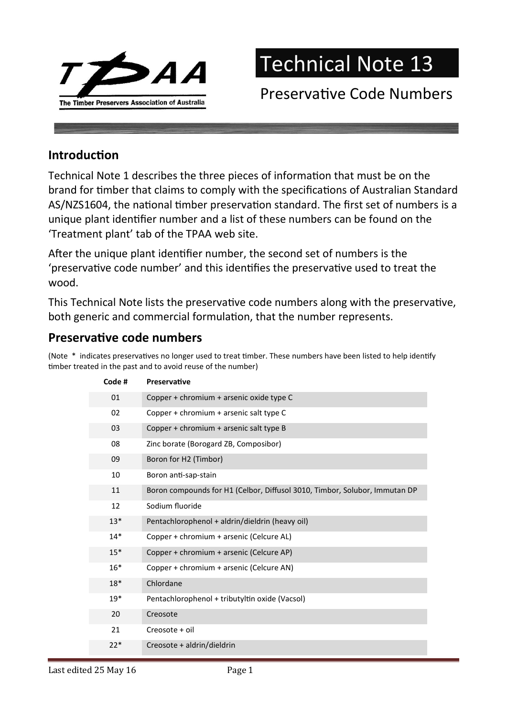

## Technical Note 13

## Preservative Code Numbers

## **Introduction**

Technical Note 1 describes the three pieces of information that must be on the brand for timber that claims to comply with the specifications of Australian Standard AS/NZS1604, the national timber preservation standard. The first set of numbers is a unique plant identifier number and a list of these numbers can be found on the 'Treatment plant' tab of the TPAA web site.

After the unique plant identifier number, the second set of numbers is the 'preservative code number' and this identifies the preservative used to treat the wood.

This Technical Note lists the preservative code numbers along with the preservative, both generic and commercial formulation, that the number represents.

## Preservative code numbers

(Note \* indicates preservatives no longer used to treat timber. These numbers have been listed to help identify timber treated in the past and to avoid reuse of the number)

| Code # | <b>Preservative</b>                                                        |
|--------|----------------------------------------------------------------------------|
| 01     | Copper + chromium + arsenic oxide type C                                   |
| 02     | Copper + chromium + arsenic salt type C                                    |
| 03     | Copper + chromium + arsenic salt type B                                    |
| 08     | Zinc borate (Borogard ZB, Composibor)                                      |
| 09     | Boron for H2 (Timbor)                                                      |
| 10     | Boron anti-sap-stain                                                       |
| 11     | Boron compounds for H1 (Celbor, Diffusol 3010, Timbor, Solubor, Immutan DP |
| 12     | Sodium fluoride                                                            |
| $13*$  | Pentachlorophenol + aldrin/dieldrin (heavy oil)                            |
| $14*$  | Copper + chromium + arsenic (Celcure AL)                                   |
| $15*$  | Copper + chromium + arsenic (Celcure AP)                                   |
| $16*$  | Copper + chromium + arsenic (Celcure AN)                                   |
| $18*$  | Chlordane                                                                  |
| $19*$  | Pentachlorophenol + tributyltin oxide (Vacsol)                             |
| 20     | Creosote                                                                   |
| 21     | Creosote + oil                                                             |
| $22*$  | Creosote + aldrin/dieldrin                                                 |
|        |                                                                            |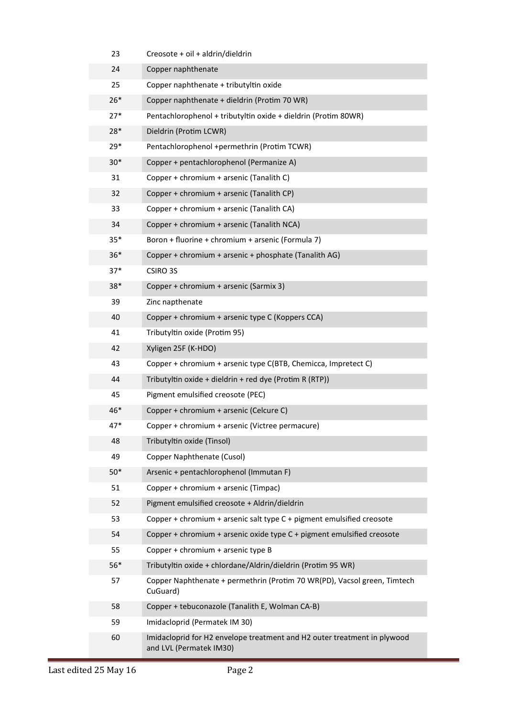| 23    | Creosote + oil + aldrin/dieldrin                                                                    |
|-------|-----------------------------------------------------------------------------------------------------|
| 24    | Copper naphthenate                                                                                  |
| 25    | Copper naphthenate + tributyltin oxide                                                              |
| $26*$ | Copper naphthenate + dieldrin (Protim 70 WR)                                                        |
| $27*$ | Pentachlorophenol + tributyltin oxide + dieldrin (Protim 80WR)                                      |
| 28*   | Dieldrin (Protim LCWR)                                                                              |
| $29*$ | Pentachlorophenol +permethrin (Protim TCWR)                                                         |
| $30*$ | Copper + pentachlorophenol (Permanize A)                                                            |
| 31    | Copper + chromium + arsenic (Tanalith C)                                                            |
| 32    | Copper + chromium + arsenic (Tanalith CP)                                                           |
| 33    | Copper + chromium + arsenic (Tanalith CA)                                                           |
| 34    | Copper + chromium + arsenic (Tanalith NCA)                                                          |
| $35*$ | Boron + fluorine + chromium + arsenic (Formula 7)                                                   |
| $36*$ | Copper + chromium + arsenic + phosphate (Tanalith AG)                                               |
| 37*   | CSIRO 3S                                                                                            |
| $38*$ | Copper + chromium + arsenic (Sarmix 3)                                                              |
| 39    | Zinc napthenate                                                                                     |
| 40    | Copper + chromium + arsenic type C (Koppers CCA)                                                    |
| 41    | Tributyltin oxide (Protim 95)                                                                       |
| 42    | Xyligen 25F (K-HDO)                                                                                 |
| 43    | Copper + chromium + arsenic type C(BTB, Chemicca, Impretect C)                                      |
| 44    | Tributyltin oxide + dieldrin + red dye (Protim R (RTP))                                             |
| 45    | Pigment emulsified creosote (PEC)                                                                   |
| 46*   | Copper + chromium + arsenic (Celcure C)                                                             |
| $47*$ | Copper + chromium + arsenic (Victree permacure)                                                     |
| 48    | Tributyltin oxide (Tinsol)                                                                          |
| 49    | Copper Naphthenate (Cusol)                                                                          |
| $50*$ | Arsenic + pentachlorophenol (Immutan F)                                                             |
| 51    | Copper + chromium + arsenic (Timpac)                                                                |
| 52    | Pigment emulsified creosote + Aldrin/dieldrin                                                       |
| 53    | Copper + chromium + arsenic salt type C + pigment emulsified creosote                               |
| 54    | Copper + chromium + arsenic oxide type $C +$ pigment emulsified creosote                            |
| 55    | Copper + chromium + arsenic type B                                                                  |
| $56*$ | Tributyltin oxide + chlordane/Aldrin/dieldrin (Protim 95 WR)                                        |
| 57    | Copper Naphthenate + permethrin (Protim 70 WR(PD), Vacsol green, Timtech<br>CuGuard)                |
| 58    | Copper + tebuconazole (Tanalith E, Wolman CA-B)                                                     |
| 59    | Imidacloprid (Permatek IM 30)                                                                       |
| 60    | Imidacloprid for H2 envelope treatment and H2 outer treatment in plywood<br>and LVL (Permatek IM30) |